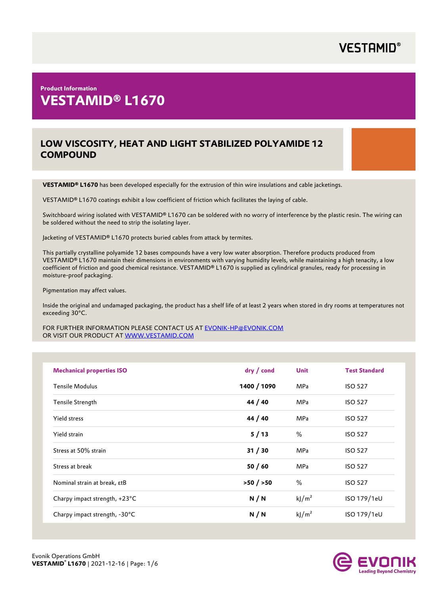### **Product Information VESTAMID® L1670**

### **LOW VISCOSITY, HEAT AND LIGHT STABILIZED POLYAMIDE 12 COMPOUND**

**VESTAMID® L1670** has been developed especially for the extrusion of thin wire insulations and cable jacketings.

VESTAMID® L1670 coatings exhibit a low coefficient of friction which facilitates the laying of cable.

Switchboard wiring isolated with VESTAMID® L1670 can be soldered with no worry of interference by the plastic resin. The wiring can be soldered without the need to strip the isolating layer.

Jacketing of VESTAMID® L1670 protects buried cables from attack by termites.

This partially crystalline polyamide 12 bases compounds have a very low water absorption. Therefore products produced from VESTAMID® L1670 maintain their dimensions in environments with varying humidity levels, while maintaining a high tenacity, a low coefficient of friction and good chemical resistance. VESTAMID® L1670 is supplied as cylindrical granules, ready for processing in moisture-proof packaging.

Pigmentation may affect values.

Inside the original and undamaged packaging, the product has a shelf life of at least 2 years when stored in dry rooms at temperatures not exceeding 30°C.

FOR FURTHER INFORMATION PLEASE CONTACT US AT [EVONIK-HP@EVONIK.COM](mailto:EVONIK-HP@EVONIK.COM?subject=Plastics-Databse%3A%20About%20product%20information%20and%20additional%20support%20&body=Hello%20Evonik-HP%20Team%0AI%20need%20additional%20support%20and%20%2F%20or%20Information%0A%20%20) OR VISIT OUR PRODUCT AT [WWW.VESTAMID.COM](https://www.vestamid.com)

| <b>Mechanical properties ISO</b> | dry / cond  | <b>Unit</b>       | <b>Test Standard</b> |
|----------------------------------|-------------|-------------------|----------------------|
| <b>Tensile Modulus</b>           | 1400 / 1090 | <b>MPa</b>        | <b>ISO 527</b>       |
| Tensile Strength                 | 44 / 40     | <b>MPa</b>        | <b>ISO 527</b>       |
| Yield stress                     | 44 / 40     | <b>MPa</b>        | <b>ISO 527</b>       |
| Yield strain                     | 5/13        | %                 | <b>ISO 527</b>       |
| Stress at 50% strain             | 31 / 30     | <b>MPa</b>        | <b>ISO 527</b>       |
| Stress at break                  | 50/60       | <b>MPa</b>        | <b>ISO 527</b>       |
| Nominal strain at break, εtB     | >50/550     | %                 | <b>ISO 527</b>       |
| Charpy impact strength, +23°C    | N/N         | kj/m <sup>2</sup> | ISO 179/1eU          |
| Charpy impact strength, -30°C    | N/N         | kj/m <sup>2</sup> | ISO 179/1eU          |

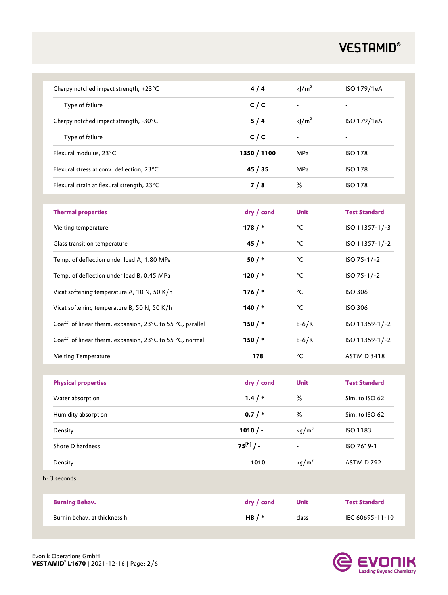| Charpy notched impact strength, +23°C                      | 4/4           | $k$ J $/m2$              | ISO 179/1eA              |
|------------------------------------------------------------|---------------|--------------------------|--------------------------|
| Type of failure                                            | C/C           |                          |                          |
| Charpy notched impact strength, -30°C                      | 5/4           | kj/m <sup>2</sup>        | ISO 179/1eA              |
| Type of failure                                            | C/C           | $\overline{\phantom{a}}$ | $\overline{\phantom{a}}$ |
| Flexural modulus, 23°C                                     | 1350 / 1100   | MPa                      | <b>ISO 178</b>           |
| Flexural stress at conv. deflection, 23°C                  | 45/35         | MPa                      | <b>ISO 178</b>           |
| Flexural strain at flexural strength, 23°C                 | 7/8           | %                        | <b>ISO 178</b>           |
|                                                            |               |                          |                          |
| <b>Thermal properties</b>                                  | dry / cond    | <b>Unit</b>              | <b>Test Standard</b>     |
| Melting temperature                                        | 178/          | °C                       | ISO 11357-1/-3           |
| Glass transition temperature                               | 45/           | °C                       | ISO 11357-1/-2           |
| Temp. of deflection under load A, 1.80 MPa                 | $50/$ *       | °C                       | ISO 75-1/-2              |
| Temp. of deflection under load B, 0.45 MPa                 | 120/          | °C                       | ISO 75-1/-2              |
| Vicat softening temperature A, 10 N, 50 K/h                | 176/          | °C                       | <b>ISO 306</b>           |
| Vicat softening temperature B, 50 N, 50 K/h                | 140 $/*$      | $^{\circ}$ C             | <b>ISO 306</b>           |
| Coeff. of linear therm. expansion, 23°C to 55 °C, parallel | 150/          | $E-6/K$                  | ISO 11359-1/-2           |
| Coeff. of linear therm. expansion, 23°C to 55 °C, normal   | 150/          | $E-6/K$                  | ISO 11359-1/-2           |
| Melting Temperature                                        | 178           | °C                       | <b>ASTM D 3418</b>       |
|                                                            |               |                          |                          |
| <b>Physical properties</b>                                 | dry / cond    | <b>Unit</b>              | <b>Test Standard</b>     |
| Water absorption                                           | $1.4 / *$     | %                        | Sim. to ISO 62           |
| Humidity absorption                                        | 0.7/          | $\%$                     | Sim. to ISO 62           |
| Density                                                    | $1010 / -$    | kg/m <sup>3</sup>        | ISO 1183                 |
| Shore D hardness                                           | $75^{[b]}/$ - | $\overline{\phantom{a}}$ | ISO 7619-1               |
| Density                                                    | 1010          | kg/m <sup>3</sup>        | ASTM D 792               |
| b: 3 seconds                                               |               |                          |                          |
| <b>Burning Behav.</b>                                      | dry / cond    | Unit                     | <b>Test Standard</b>     |
| Burnin behav. at thickness h                               | HB $/*$       | class                    | IEC 60695-11-10          |
|                                                            |               |                          |                          |

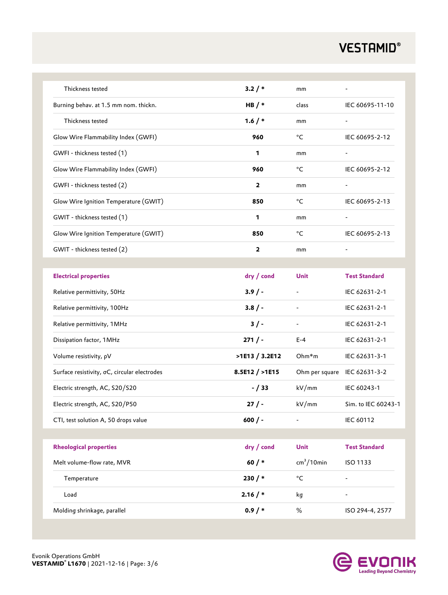| Thickness tested                             | 3.2/                    | mm                           |                          |
|----------------------------------------------|-------------------------|------------------------------|--------------------------|
| Burning behav. at 1.5 mm nom. thickn.        | HB $/*$                 | class                        | IEC 60695-11-10          |
| Thickness tested                             | 1.6/                    | mm                           | $\overline{\phantom{0}}$ |
| Glow Wire Flammability Index (GWFI)          | 960                     | °C                           | IEC 60695-2-12           |
| GWFI - thickness tested (1)                  | 1                       | mm                           | $\overline{\phantom{a}}$ |
| Glow Wire Flammability Index (GWFI)          | 960                     | °C                           | IEC 60695-2-12           |
| GWFI - thickness tested (2)                  | $\overline{2}$          | mm                           | $\overline{\phantom{0}}$ |
| Glow Wire Ignition Temperature (GWIT)        | 850                     | °C                           | IEC 60695-2-13           |
| GWIT - thickness tested (1)                  | 1                       | mm                           | $\overline{\phantom{0}}$ |
| Glow Wire Ignition Temperature (GWIT)        | 850                     | °C                           | IEC 60695-2-13           |
| GWIT - thickness tested (2)                  | $\overline{\mathbf{2}}$ | mm                           |                          |
|                                              |                         |                              |                          |
| <b>Electrical properties</b>                 | dry / cond              | Unit                         | <b>Test Standard</b>     |
| Relative permittivity, 50Hz                  | $3.9/ -$                |                              | IEC 62631-2-1            |
| Relative permittivity, 100Hz                 | $3.8/ -$                |                              | IEC 62631-2-1            |
| Relative permittivity, 1MHz                  | 3/                      | $\overline{\phantom{a}}$     | IEC 62631-2-1            |
| Dissipation factor, 1MHz                     | 271/                    | $E - 4$                      | IEC 62631-2-1            |
| Volume resistivity, pV                       | >1E13 / 3.2E12          | Ohm*m                        | IEC 62631-3-1            |
| Surface resistivity, oC, circular electrodes | 8.5E12 / >1E15          | Ohm per square IEC 62631-3-2 |                          |
| Electric strength, AC, S20/S20               | $- / 33$                | kV/mm                        | IEC 60243-1              |
| Electric strength, AC, S20/P50               | 27/                     | kV/mm                        | Sim. to IEC 60243-1      |
| CTI, test solution A, 50 drops value         | $600/$ -                | $\overline{a}$               | IEC 60112                |
|                                              |                         |                              |                          |
| <b>Rheological properties</b>                | dry / cond              | Unit                         | <b>Test Standard</b>     |
| Melt volume-flow rate, MVR                   | 60 $/$ *                | $cm3/10$ min                 | ISO 1133                 |
| Temperature                                  | $230 / *$               | $^{\circ}{\rm C}$            | $\overline{\phantom{0}}$ |
| Load                                         | $2.16 / *$              | kg                           |                          |
| Molding shrinkage, parallel                  | 0.9/                    | %                            | ISO 294-4, 2577          |

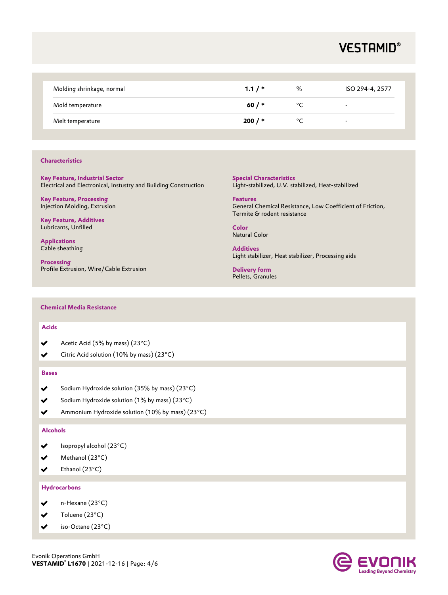| Molding shrinkage, normal | 1.1/     | %  | ISO 294-4, 2577          |
|---------------------------|----------|----|--------------------------|
| Mold temperature          | 60 / $*$ | °C | $\overline{\phantom{0}}$ |
| Melt temperature          | $200/$ * | °C | $\overline{\phantom{a}}$ |

#### **Characteristics**

**Key Feature, Industrial Sector** Electrical and Electronical, Instustry and Building Construction

**Key Feature, Processing** Injection Molding, Extrusion

**Key Feature, Additives**  Lubricants, Unfilled

**Applications** Cable sheathing

**Processing** Profile Extrusion, Wire/Cable Extrusion **Special Characteristics** Light-stabilized, U.V. stabilized, Heat-stabilized

**Features** General Chemical Resistance, Low Coefficient of Friction, Termite & rodent resistance

**Color** Natural Color

**Additives** Light stabilizer, Heat stabilizer, Processing aids

**Delivery form** Pellets, Granules

#### **Chemical Media Resistance**

#### **Acids**

- Acetic Acid (5% by mass) (23°C)
- Citric Acid solution (10% by mass) (23°C)

#### **Bases**

- Sodium Hydroxide solution (35% by mass) (23°C)
- Sodium Hydroxide solution (1% by mass) (23°C)
- Ammonium Hydroxide solution (10% by mass) (23°C)

#### **Alcohols**

- Isopropyl alcohol (23°C)
- $\blacktriangleright$ Methanol (23°C)
- Ethanol (23°C) ✔

#### **Hydrocarbons**

- ✔ n-Hexane (23°C)
- Toluene (23°C)
- iso-Octane (23°C) ✔

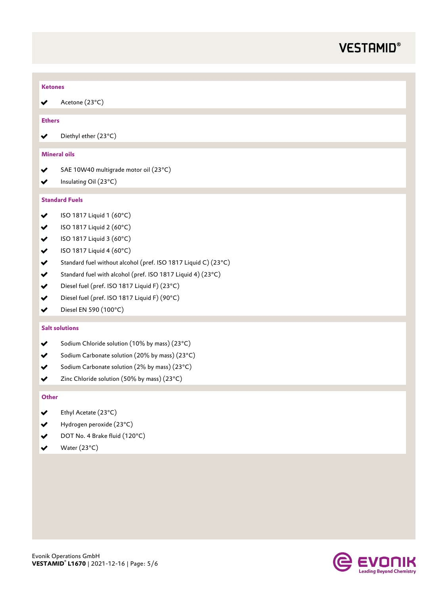| <b>Ketones</b>      |                                                                |
|---------------------|----------------------------------------------------------------|
| ✔                   | Acetone (23°C)                                                 |
|                     |                                                                |
| <b>Ethers</b>       |                                                                |
| ✔                   | Diethyl ether (23°C)                                           |
| <b>Mineral oils</b> |                                                                |
| ✔                   | SAE 10W40 multigrade motor oil (23°C)                          |
| ✔                   | Insulating Oil (23°C)                                          |
|                     | <b>Standard Fuels</b>                                          |
|                     |                                                                |
| ✔                   | ISO 1817 Liquid 1 (60°C)                                       |
| $\checkmark$        | ISO 1817 Liquid 2 (60°C)                                       |
| $\checkmark$        | ISO 1817 Liquid 3 (60°C)                                       |
| $\checkmark$        | ISO 1817 Liquid 4 (60°C)                                       |
| $\checkmark$        | Standard fuel without alcohol (pref. ISO 1817 Liquid C) (23°C) |
| $\checkmark$        | Standard fuel with alcohol (pref. ISO 1817 Liquid 4) (23°C)    |
| $\checkmark$        | Diesel fuel (pref. ISO 1817 Liquid F) (23°C)                   |
| ✔                   | Diesel fuel (pref. ISO 1817 Liquid F) (90°C)                   |
| ✔                   | Diesel EN 590 (100°C)                                          |
|                     | <b>Salt solutions</b>                                          |
| ✔                   | Sodium Chloride solution (10% by mass) (23°C)                  |

- Sodium Carbonate solution (20% by mass) (23°C)  $\blacktriangledown$
- Sodium Carbonate solution (2% by mass) (23°C)
- Zinc Chloride solution (50% by mass) (23°C)  $\checkmark$

#### **Other**

- Ethyl Acetate (23°C)  $\checkmark$
- Hydrogen peroxide (23°C)  $\checkmark$
- DOT No. 4 Brake fluid (120°C)  $\checkmark$
- Water (23°C)  $\blacktriangledown$